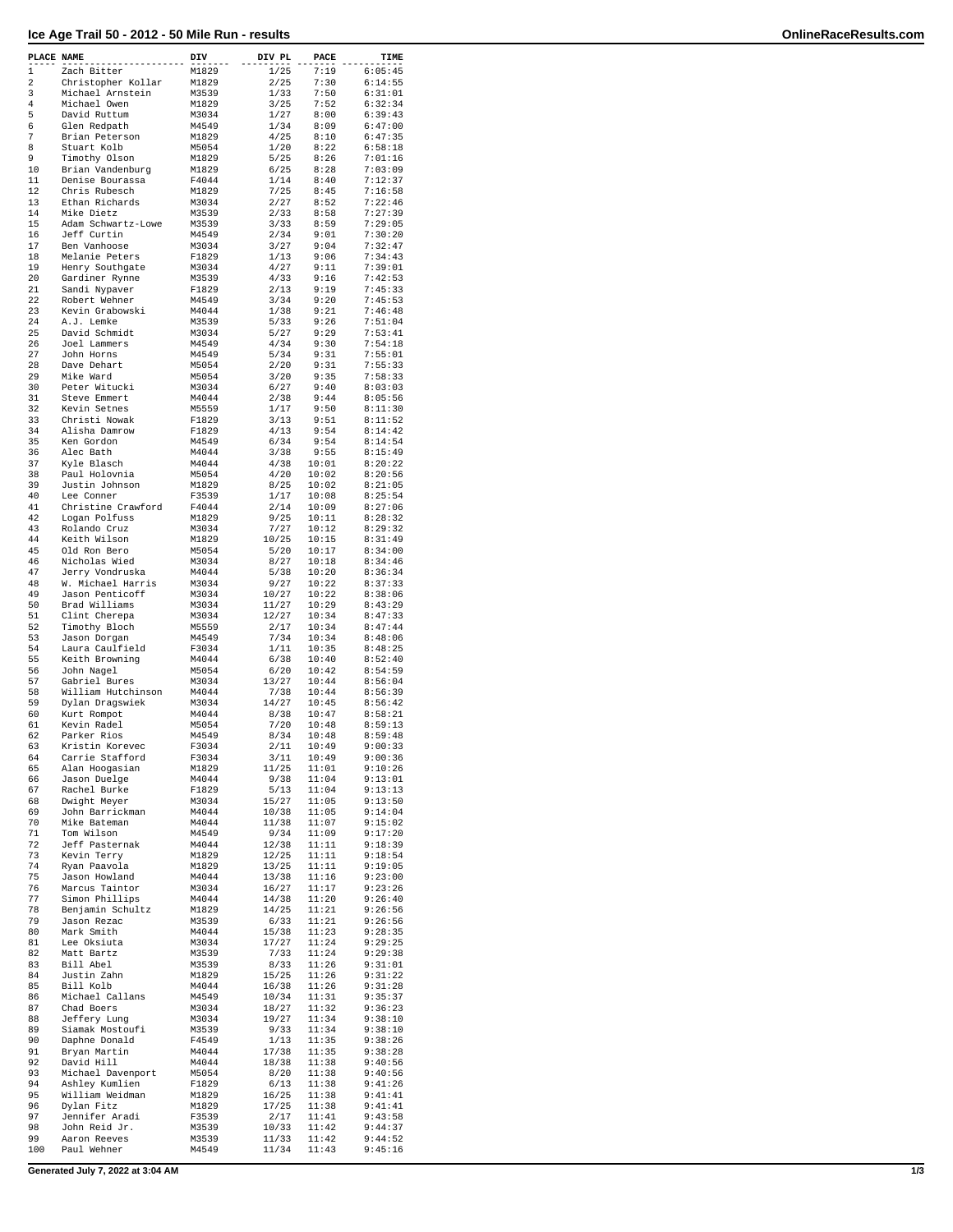## **Ice Age Trail 50 - 2012 - 50 Mile Run - results OnlineRaceResults.com**

| PLACE NAME |                                   | DIV            | DIV PL         | PACE           | TIME               |
|------------|-----------------------------------|----------------|----------------|----------------|--------------------|
| 1          | Zach Bitter                       | M1829          | 1/25           | 7:19           | 6:05:45            |
| 2          | Christopher Kollar                | M1829          | 2/25           | 7:30           | 6:14:55            |
| 3          | Michael Arnstein                  | M3539          | 1/33           | 7:50           | 6:31:01            |
| 4          | Michael Owen                      | M1829          | 3/25           | 7:52           | 6:32:34            |
| 5<br>6     | David Ruttum<br>Glen Redpath      | M3034<br>M4549 | 1/27<br>1/34   | 8:00<br>8:09   | 6:39:43<br>6:47:00 |
| 7          | Brian Peterson                    | M1829          | 4/25           | 8:10           | 6:47:35            |
| 8          | Stuart Kolb                       | M5054          | 1/20           | 8:22           | 6:58:18            |
| 9          | Timothy Olson                     | M1829          | 5/25           | 8:26           | 7:01:16            |
| 10         | Brian Vandenburg                  | M1829          | 6/25           | 8:28           | 7:03:09            |
| 11         | Denise Bourassa                   | F4044          | 1/14           | 8:40           | 7:12:37            |
| 12         | Chris Rubesch                     | M1829          | 7/25           | 8:45           | 7:16:58            |
| 13         | Ethan Richards                    | M3034          | 2/27           | 8:52           | 7:22:46            |
| 14         | Mike Dietz                        | M3539          | 2/33           | 8:58           | 7:27:39            |
| 15         | Adam Schwartz-Lowe                | M3539          | 3/33           | 8:59           | 7:29:05            |
| 16         | Jeff Curtin                       | M4549          | 2/34           | 9:01           | 7:30:20            |
| 17         | Ben Vanhoose                      | M3034          | 3/27           | 9:04           | 7:32:47            |
| 18         | Melanie Peters                    | F1829          | 1/13           | 9:06           | 7:34:43            |
| 19         | Henry Southgate                   | M3034          | 4/27           | 9:11           | 7:39:01            |
| 20<br>21   | Gardiner Rynne                    | M3539          | 4/33<br>2/13   | 9:16<br>9:19   | 7:42:53<br>7:45:33 |
| 22         | Sandi Nypaver<br>Robert Wehner    | F1829<br>M4549 | 3/34           | 9:20           | 7:45:53            |
| 23         | Kevin Grabowski                   | M4044          | 1/38           | 9:21           | 7:46:48            |
| 24         | A.J. Lemke                        | M3539          | 5/33           | 9:26           | 7:51:04            |
| 25         | David Schmidt                     | M3034          | 5/27           | 9:29           | 7:53:41            |
| 26         | Joel Lammers                      | M4549          | 4/34           | 9:30           | 7:54:18            |
| 27         | John Horns                        | M4549          | 5/34           | 9:31           | 7:55:01            |
| 28         | Dave Dehart                       | M5054          | 2/20           | 9:31           | 7:55:33            |
| 29         | Mike Ward                         | M5054          | 3/20           | 9:35           | 7:58:33            |
| 30         | Peter Witucki                     | M3034          | 6/27           | 9:40           | 8:03:03            |
| 31         | Steve Emmert                      | M4044          | 2/38           | 9:44           | 8:05:56            |
| 32         | Kevin Setnes                      | M5559          | 1/17           | 9:50           | 8:11:30            |
| 33         | Christi Nowak                     | F1829          | 3/13           | 9:51           | 8:11:52            |
| 34         | Alisha Damrow                     | F1829          | 4/13           | 9:54           | 8:14:42            |
| 35         | Ken Gordon                        | M4549          | 6/34           | 9:54           | 8:14:54            |
| 36         | Alec Bath                         | M4044          | 3/38           | 9:55           | 8:15:49            |
| 37<br>38   | Kyle Blasch<br>Paul Holovnia      | M4044<br>M5054 | 4/38<br>4/20   | 10:01<br>10:02 | 8:20:22<br>8:20:56 |
| 39         | Justin Johnson                    | M1829          | 8/25           | 10:02          | 8:21:05            |
| 40         | Lee Conner                        | F3539          | 1/17           | 10:08          | 8:25:54            |
| 41         | Christine Crawford                | F4044          | 2/14           | 10:09          | 8:27:06            |
| 42         | Logan Polfuss                     | M1829          | 9/25           | 10:11          | 8:28:32            |
| 43         | Rolando Cruz                      | M3034          | 7/27           | 10:12          | 8:29:32            |
| 44         | Keith Wilson                      | M1829          | 10/25          | 10:15          | 8:31:49            |
| 45         | Old Ron Bero                      | M5054          | 5/20           | 10:17          | 8:34:00            |
| 46         | Nicholas Wied                     | M3034          | 8/27           | 10:18          | 8:34:46            |
| 47         | Jerry Vondruska                   | M4044          | 5/38           | 10:20          | 8:36:34            |
| 48         | W. Michael Harris                 | M3034          | 9/27           | 10:22          | 8:37:33            |
| 49         | Jason Penticoff                   | M3034          | 10/27          | 10:22          | 8:38:06            |
| 50         | Brad Williams                     | M3034          | 11/27          | 10:29          | 8:43:29            |
| 51         | Clint Cherepa                     | M3034          | 12/27          | 10:34          | 8:47:33            |
| 52<br>53   | Timothy Bloch<br>Jason Dorgan     | M5559<br>M4549 | 2/17<br>7/34   | 10:34<br>10:34 | 8:47:44<br>8:48:06 |
| 54         | Laura Caulfield                   | F3034          | 1/11           | 10:35          | 8:48:25            |
| 55         | Keith Browning                    | M4044          | 6/38           | 10:40          | 8:52:40            |
| 56         | John Nagel                        | M5054          | 6/20           | 10:42          | 8:54:59            |
| 57         | Gabriel Bures                     | M3034          | 13/27          | 10:44          | 8:56:04            |
| 58         | William Hutchinson                | M4044          | 7/38           | 10:44          | 8:56:39            |
| 59         | Dylan Dragswiek                   | M3034          | 14/27          | 10:45          | 8:56:42            |
| 60         | Kurt Rompot                       | M4044          | 8/38           | 10:47          | 8:58:21            |
| 61         | Kevin Radel                       | M5054          | 7/20           | 10:48          | 8:59:13            |
| 62         | Parker Rios                       | M4549          | 8/34           | 10:48          | 8:59:48            |
| 63<br>64   | Kristin Korevec                   | F3034<br>F3034 | 2/11<br>3/11   | 10:49<br>10:49 | 9:00:33<br>9:00:36 |
| 65         | Carrie Stafford<br>Alan Hoogasian | M1829          | 11/25          | 11:01          | 9:10:26            |
| 66         | Jason Duelge                      | M4044          | 9/38           | 11:04          | 9:13:01            |
| 67         | Rachel Burke                      | F1829          | 5/13           | 11:04          | 9:13:13            |
| 68         | Dwight Meyer                      | M3034          | 15/27          | 11:05          | 9:13:50            |
| 69         | John Barrickman                   | M4044          | 10/38          | 11:05          | 9:14:04            |
| 70         | Mike Bateman                      | M4044          | 11/38          | 11:07          | 9:15:02            |
| 71         | Tom Wilson                        | M4549          | 9/34           | 11:09          | 9:17:20            |
| 72         | Jeff Pasternak                    | M4044          | 12/38          | 11:11          | 9:18:39            |
| 73         | Kevin Terry                       | M1829          | 12/25          | 11:11          | 9:18:54            |
| 74         | Ryan Paavola                      | M1829          | 13/25          | 11:11          | 9:19:05            |
| 75<br>76   | Jason Howland<br>Marcus Taintor   | M4044<br>M3034 | 13/38<br>16/27 | 11:16<br>11:17 | 9:23:00<br>9:23:26 |
| 77         | Simon Phillips                    | M4044          | 14/38          | 11:20          | 9:26:40            |
| 78         | Benjamin Schultz                  | M1829          | 14/25          | 11:21          | 9:26:56            |
| 79         | Jason Rezac                       | M3539          | 6/33           | 11:21          | 9:26:56            |
| 80         | Mark Smith                        | M4044          | 15/38          | 11:23          | 9:28:35            |
| 81         | Lee Oksiuta                       | M3034          | 17/27          | 11:24          | 9:29:25            |
| 82         | Matt Bartz                        | M3539          | 7/33           | 11:24          | 9:29:38            |
| 83         | Bill Abel                         | M3539          | 8/33           | 11:26          | 9:31:01            |
| 84         | Justin Zahn                       | M1829          | 15/25          | 11:26          | 9:31:22            |
| 85         | Bill Kolb                         | M4044          | 16/38          | 11:26          | 9:31:28            |
| 86         | Michael Callans                   | M4549          | 10/34          | 11:31          | 9:35:37            |
| 87         | Chad Boers                        | M3034          | 18/27          | 11:32          | 9:36:23            |
| 88         | Jeffery Lung                      | M3034          | 19/27          | 11:34          | 9:38:10            |
| 89         | Siamak Mostoufi                   | M3539          | 9/33           | 11:34          | 9:38:10            |
| 90         | Daphne Donald                     | F4549          | 1/13           | 11:35          | 9:38:26            |
| 91<br>92   | Bryan Martin<br>David Hill        | M4044<br>M4044 | 17/38<br>18/38 | 11:35<br>11:38 | 9:38:28<br>9:40:56 |
| 93         | Michael Davenport                 | M5054          | 8/20           | 11:38          | 9:40:56            |
| 94         | Ashley Kumlien                    | F1829          | 6/13           | 11:38          | 9:41:26            |
| 95         | William Weidman                   | M1829          | 16/25          | 11:38          | 9:41:41            |
| 96         | Dylan Fitz                        | M1829          | 17/25          | 11:38          | 9:41:41            |
| 97         | Jennifer Aradi                    | F3539          | 2/17           | 11:41          | 9:43:58            |
| 98         | John Reid Jr.                     | M3539          | 10/33          | 11:42          | 9:44:37            |
| 99         | Aaron Reeves                      | M3539          | 11/33          | 11:42          | 9:44:52            |
| 100        | Paul Wehner                       | M4549          | 11/34          | 11:43          | 9:45:16            |

**Generated July 7, 2022 at 3:04 AM 1/3**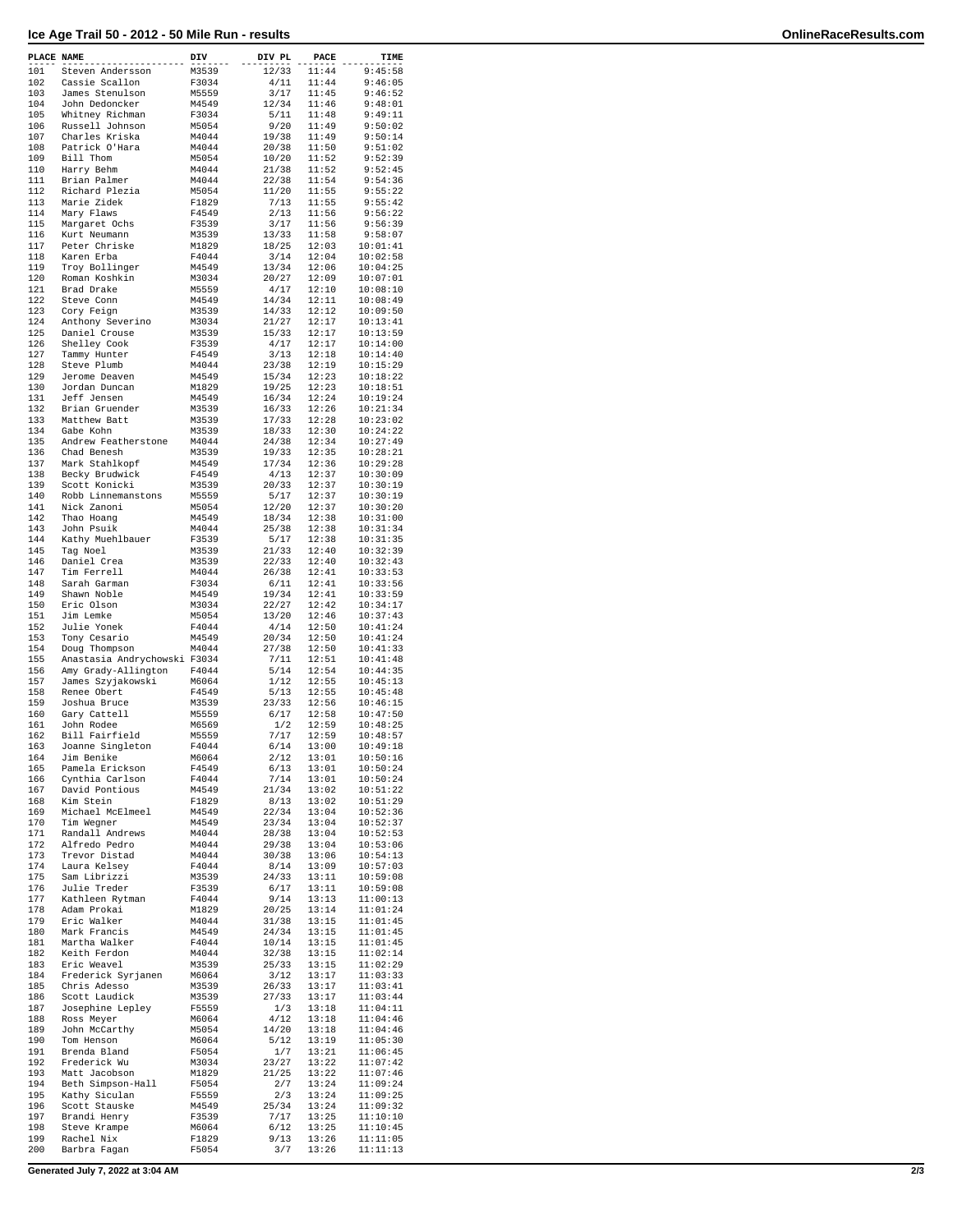## **Ice Age Trail 50 - 2012 - 50 Mile Run - results OnlineRaceResults.com**

| PLACE NAME |                                               | DIV            | DIV PL         | PACE           | TIME                 |
|------------|-----------------------------------------------|----------------|----------------|----------------|----------------------|
| 101        | Steven Andersson                              | M3539          | 12/33          | 11:44          | 9:45:58              |
| 102        | Cassie Scallon                                | F3034          | 4/11           | 11:44          | 9:46:05              |
| 103        | James Stenulson                               | M5559          | 3/17           | 11:45          | 9:46:52              |
| 104        | John Dedoncker                                | M4549          | 12/34          | 11:46          | 9:48:01              |
| 105<br>106 | Whitney Richman<br>Russell Johnson            | F3034<br>M5054 | 5/11<br>9/20   | 11:48<br>11:49 | 9:49:11<br>9:50:02   |
| 107        | Charles Kriska                                | M4044          | 19/38          | 11:49          | 9:50:14              |
| 108        | Patrick O'Hara                                | M4044          | 20/38          | 11:50          | 9:51:02              |
| 109        | Bill Thom                                     | M5054          | 10/20          | 11:52          | 9:52:39              |
| 110        | Harry Behm                                    | M4044          | 21/38          | 11:52          | 9:52:45              |
| 111        | Brian Palmer                                  | M4044          | 22/38          | 11:54          | 9:54:36              |
| 112        | Richard Plezia                                | M5054          | 11/20          | 11:55          | 9:55:22              |
| 113<br>114 | Marie Zidek<br>Mary Flaws                     | F1829<br>F4549 | 7/13<br>2/13   | 11:55<br>11:56 | 9:55:42<br>9:56:22   |
| 115        | Margaret Ochs                                 | F3539          | 3/17           | 11:56          | 9:56:39              |
| 116        | Kurt Neumann                                  | M3539          | 13/33          | 11:58          | 9:58:07              |
| 117        | Peter Chriske                                 | M1829          | 18/25          | 12:03          | 10:01:41             |
| 118        | Karen Erba                                    | F4044          | 3/14           | 12:04          | 10:02:58             |
| 119        | Troy Bollinger                                | M4549          | 13/34          | 12:06          | 10:04:25             |
| 120        | Roman Koshkin                                 | M3034          | 20/27          | 12:09          | 10:07:01             |
| 121        | Brad Drake                                    | M5559          | 4/17           | 12:10          | 10:08:10             |
| 122<br>123 | Steve Conn<br>Cory Feign                      | M4549<br>M3539 | 14/34<br>14/33 | 12:11<br>12:12 | 10:08:49<br>10:09:50 |
| 124        | Anthony Severino                              | M3034          | 21/27          | 12:17          | 10:13:41             |
| 125        | Daniel Crouse                                 | M3539          | 15/33          | 12:17          | 10:13:59             |
| 126        | Shelley Cook                                  | F3539          | 4/17           | 12:17          | 10:14:00             |
| 127        | Tammy Hunter                                  | F4549          | 3/13           | 12:18          | 10:14:40             |
| 128        | Steve Plumb                                   | M4044          | 23/38          | 12:19          | 10:15:29             |
| 129<br>130 | Jerome Deaven                                 | M4549          | 15/34          | 12:23          | 10:18:22<br>10:18:51 |
| 131        | Jordan Duncan<br>Jeff Jensen                  | M1829<br>M4549 | 19/25<br>16/34 | 12:23<br>12:24 | 10:19:24             |
| 132        | Brian Gruender                                | M3539          | 16/33          | 12:26          | 10:21:34             |
| 133        | Matthew Batt                                  | M3539          | 17/33          | 12:28          | 10:23:02             |
| 134        | Gabe Kohn                                     | M3539          | 18/33          | 12:30          | 10:24:22             |
| 135        | Andrew Featherstone                           | M4044          | 24/38          | 12:34          | 10:27:49             |
| 136        | Chad Benesh                                   | M3539          | 19/33          | 12:35          | 10:28:21             |
| 137        | Mark Stahlkopf                                | M4549          | 17/34          | 12:36          | 10:29:28             |
| 138<br>139 | Becky Brudwick<br>Scott Konicki               | F4549<br>M3539 | 4/13<br>20/33  | 12:37<br>12:37 | 10:30:09<br>10:30:19 |
| 140        | Robb Linnemanstons                            | M5559          | 5/17           | 12:37          | 10:30:19             |
| 141        | Nick Zanoni                                   | M5054          | 12/20          | 12:37          | 10:30:20             |
| 142        | Thao Hoang                                    | M4549          | 18/34          | 12:38          | 10:31:00             |
| 143        | John Psuik                                    | M4044          | 25/38          | 12:38          | 10:31:34             |
| 144        | Kathy Muehlbauer                              | F3539          | 5/17           | 12:38          | 10:31:35             |
| 145        | Tag Noel                                      | M3539          | 21/33          | 12:40          | 10:32:39             |
| 146<br>147 | Daniel Crea                                   | M3539<br>M4044 | 22/33<br>26/38 | 12:40<br>12:41 | 10:32:43<br>10:33:53 |
| 148        | Tim Ferrell<br>Sarah Garman                   | F3034          | 6/11           | 12:41          | 10:33:56             |
| 149        | Shawn Noble                                   | M4549          | 19/34          | 12:41          | 10:33:59             |
| 150        | Eric Olson                                    | M3034          | 22/27          | 12:42          | 10:34:17             |
| 151        | Jim Lemke                                     | M5054          | 13/20          | 12:46          | 10:37:43             |
| 152        | Julie Yonek                                   | F4044          | 4/14           | 12:50          | 10:41:24             |
| 153        | Tony Cesario                                  | M4549          | 20/34          | 12:50          | 10:41:24             |
| 154<br>155 | Doug Thompson<br>Anastasia Andrychowski F3034 | M4044          | 27/38<br>7/11  | 12:50<br>12:51 | 10:41:33<br>10:41:48 |
| 156        | Amy Grady-Allington                           | F4044          | 5/14           | 12:54          | 10:44:35             |
| 157        | James Szyjakowski                             | M6064          | 1/12           | 12:55          | 10:45:13             |
| 158        | Renee Obert                                   | F4549          | 5/13           | 12:55          | 10:45:48             |
| 159        | Joshua Bruce                                  | M3539          | 23/33          | 12:56          | 10:46:15             |
| 160        | Gary Cattell                                  | M5559          | 6/17           | 12:58          | 10:47:50             |
| 161        | John Rodee                                    | M6569          | 1/2            | 12:59          | 10:48:25             |
| 162<br>163 | Bill Fairfield                                | M5559<br>F4044 | 7/17           | 12:59<br>13:00 | 10:48:57<br>10:49:18 |
| 164        | Joanne Singleton<br>Jim Benike                | M6064          | 6/14<br>2/12   | 13:01          | 10:50:16             |
| 165        | Pamela Erickson                               | F4549          | 6/13           | 13:01          | 10:50:24             |
| 166        | Cynthia Carlson                               | F4044          | 7/14           | 13:01          | 10:50:24             |
| 167        | David Pontious                                | M4549          | 21/34          | 13:02          | 10:51:22             |
| 168        | Kim Stein                                     | F1829          | 8/13           | 13:02          | 10:51:29             |
| 169        | Michael McElmeel                              | M4549          | 22/34          | 13:04          | 10:52:36             |
| 170<br>171 | Tim Wegner<br>Randall Andrews                 | M4549<br>M4044 | 23/34<br>28/38 | 13:04<br>13:04 | 10:52:37<br>10:52:53 |
| 172        | Alfredo Pedro                                 | M4044          | 29/38          | 13:04          | 10:53:06             |
| 173        | Trevor Distad                                 | M4044          | 30/38          | 13:06          | 10:54:13             |
| 174        | Laura Kelsey                                  | F4044          | 8/14           | 13:09          | 10:57:03             |
| 175        | Sam Librizzi                                  | M3539          | 24/33          | 13:11          | 10:59:08             |
| 176        | Julie Treder                                  | F3539          | 6/17           | 13:11          | 10:59:08             |
| 177        | Kathleen Rytman                               | F4044          | 9/14           | 13:13          | 11:00:13             |
| 178<br>179 | Adam Prokai<br>Eric Walker                    | M1829<br>M4044 | 20/25<br>31/38 | 13:14<br>13:15 | 11:01:24<br>11:01:45 |
| 180        | Mark Francis                                  | M4549          | 24/34          | 13:15          | 11:01:45             |
| 181        | Martha Walker                                 | F4044          | 10/14          | 13:15          | 11:01:45             |
| 182        | Keith Ferdon                                  | M4044          | 32/38          | 13:15          | 11:02:14             |
| 183        | Eric Weavel                                   | M3539          | 25/33          | 13:15          | 11:02:29             |
| 184        | Frederick Syrjanen                            | M6064          | 3/12           | 13:17          | 11:03:33             |
| 185        | Chris Adesso                                  | M3539          | 26/33          | 13:17          | 11:03:41             |
| 186        | Scott Laudick                                 | M3539          | 27/33          | 13:17          | 11:03:44             |
| 187<br>188 | Josephine Lepley<br>Ross Meyer                | F5559<br>M6064 | 1/3<br>4/12    | 13:18<br>13:18 | 11:04:11<br>11:04:46 |
| 189        | John McCarthy                                 | M5054          | 14/20          | 13:18          | 11:04:46             |
| 190        | Tom Henson                                    | M6064          | 5/12           | 13:19          | 11:05:30             |
| 191        | Brenda Bland                                  | F5054          | 1/7            | 13:21          | 11:06:45             |
| 192        | Frederick Wu                                  | M3034          | 23/27          | 13:22          | 11:07:42             |
| 193        | Matt Jacobson                                 | M1829          | 21/25          | 13:22          | 11:07:46             |
| 194        | Beth Simpson-Hall                             | F5054          | 2/7            | 13:24          | 11:09:24             |
| 195<br>196 | Kathy Siculan<br>Scott Stauske                | F5559<br>M4549 | 2/3<br>25/34   | 13:24<br>13:24 | 11:09:25<br>11:09:32 |
| 197        | Brandi Henry                                  | F3539          | 7/17           | 13:25          | 11:10:10             |
| 198        | Steve Krampe                                  | M6064          | 6/12           | 13:25          | 11:10:45             |
| 199        | Rachel Nix                                    | F1829          | 9/13           | 13:26          | 11:11:05             |
| 200        | Barbra Fagan                                  | F5054          | 3/7            | 13:26          | 11:11:13             |

**Generated July 7, 2022 at 3:04 AM 2/3**